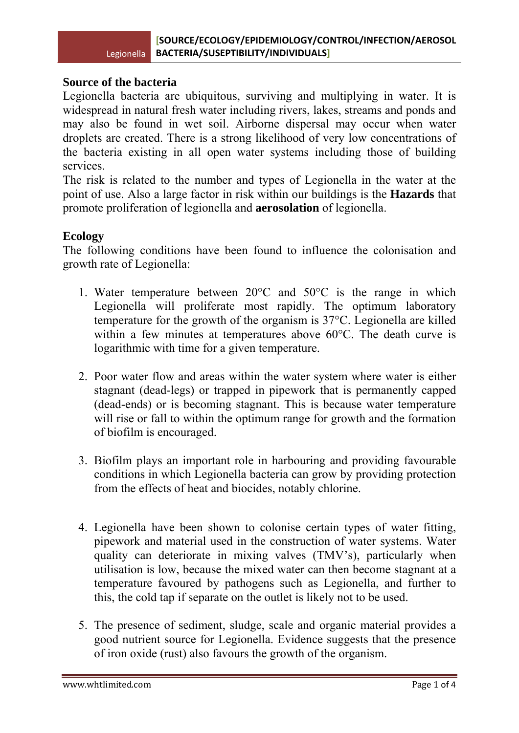#### **Source of the bacteria**

Legionella bacteria are ubiquitous, surviving and multiplying in water. It is widespread in natural fresh water including rivers, lakes, streams and ponds and may also be found in wet soil. Airborne dispersal may occur when water droplets are created. There is a strong likelihood of very low concentrations of the bacteria existing in all open water systems including those of building services.

The risk is related to the number and types of Legionella in the water at the point of use. Also a large factor in risk within our buildings is the **Hazards** that promote proliferation of legionella and **aerosolation** of legionella.

# **Ecology**

The following conditions have been found to influence the colonisation and growth rate of Legionella:

- 1. Water temperature between 20°C and 50°C is the range in which Legionella will proliferate most rapidly. The optimum laboratory temperature for the growth of the organism is 37°C. Legionella are killed within a few minutes at temperatures above 60°C. The death curve is logarithmic with time for a given temperature.
- 2. Poor water flow and areas within the water system where water is either stagnant (dead-legs) or trapped in pipework that is permanently capped (dead-ends) or is becoming stagnant. This is because water temperature will rise or fall to within the optimum range for growth and the formation of biofilm is encouraged.
- 3. Biofilm plays an important role in harbouring and providing favourable conditions in which Legionella bacteria can grow by providing protection from the effects of heat and biocides, notably chlorine.
- 4. Legionella have been shown to colonise certain types of water fitting, pipework and material used in the construction of water systems. Water quality can deteriorate in mixing valves (TMV's), particularly when utilisation is low, because the mixed water can then become stagnant at a temperature favoured by pathogens such as Legionella, and further to this, the cold tap if separate on the outlet is likely not to be used.
- 5. The presence of sediment, sludge, scale and organic material provides a good nutrient source for Legionella. Evidence suggests that the presence of iron oxide (rust) also favours the growth of the organism.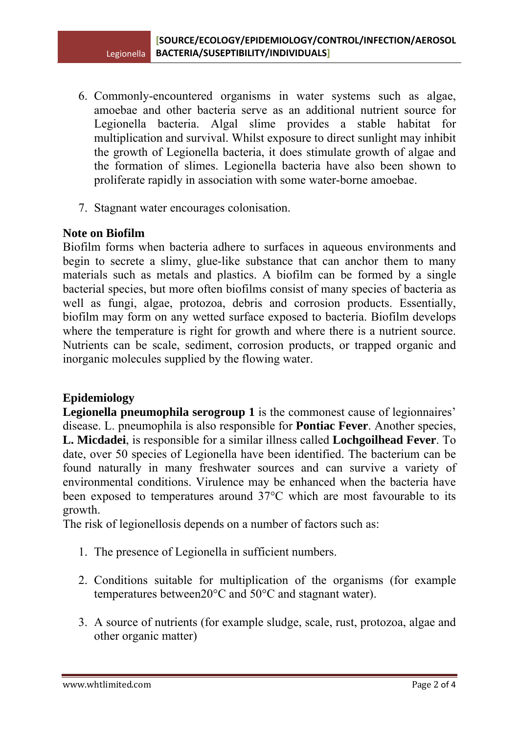- 6. Commonly-encountered organisms in water systems such as algae, amoebae and other bacteria serve as an additional nutrient source for Legionella bacteria. Algal slime provides a stable habitat for multiplication and survival. Whilst exposure to direct sunlight may inhibit the growth of Legionella bacteria, it does stimulate growth of algae and the formation of slimes. Legionella bacteria have also been shown to proliferate rapidly in association with some water-borne amoebae.
- 7. Stagnant water encourages colonisation.

#### **Note on Biofilm**

Biofilm forms when bacteria adhere to surfaces in aqueous environments and begin to secrete a slimy, glue-like substance that can anchor them to many materials such as metals and plastics. A biofilm can be formed by a single bacterial species, but more often biofilms consist of many species of bacteria as well as fungi, algae, protozoa, debris and corrosion products. Essentially, biofilm may form on any wetted surface exposed to bacteria. Biofilm develops where the temperature is right for growth and where there is a nutrient source. Nutrients can be scale, sediment, corrosion products, or trapped organic and inorganic molecules supplied by the flowing water.

# **Epidemiology**

**Legionella pneumophila serogroup 1** is the commonest cause of legionnaires' disease. L. pneumophila is also responsible for **Pontiac Fever**. Another species, **L. Micdadei**, is responsible for a similar illness called **Lochgoilhead Fever**. To date, over 50 species of Legionella have been identified. The bacterium can be found naturally in many freshwater sources and can survive a variety of environmental conditions. Virulence may be enhanced when the bacteria have been exposed to temperatures around 37°C which are most favourable to its growth.

The risk of legionellosis depends on a number of factors such as:

- 1. The presence of Legionella in sufficient numbers.
- 2. Conditions suitable for multiplication of the organisms (for example temperatures between20°C and 50°C and stagnant water).
- 3. A source of nutrients (for example sludge, scale, rust, protozoa, algae and other organic matter)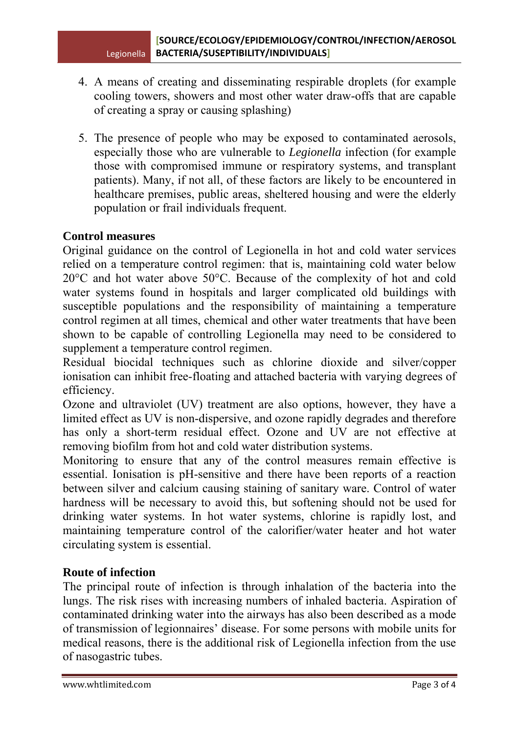- 4. A means of creating and disseminating respirable droplets (for example cooling towers, showers and most other water draw-offs that are capable of creating a spray or causing splashing)
- 5. The presence of people who may be exposed to contaminated aerosols, especially those who are vulnerable to *Legionella* infection (for example those with compromised immune or respiratory systems, and transplant patients). Many, if not all, of these factors are likely to be encountered in healthcare premises, public areas, sheltered housing and were the elderly population or frail individuals frequent.

## **Control measures**

Original guidance on the control of Legionella in hot and cold water services relied on a temperature control regimen: that is, maintaining cold water below 20°C and hot water above 50°C. Because of the complexity of hot and cold water systems found in hospitals and larger complicated old buildings with susceptible populations and the responsibility of maintaining a temperature control regimen at all times, chemical and other water treatments that have been shown to be capable of controlling Legionella may need to be considered to supplement a temperature control regimen.

Residual biocidal techniques such as chlorine dioxide and silver/copper ionisation can inhibit free-floating and attached bacteria with varying degrees of efficiency.

Ozone and ultraviolet (UV) treatment are also options, however, they have a limited effect as UV is non-dispersive, and ozone rapidly degrades and therefore has only a short-term residual effect. Ozone and UV are not effective at removing biofilm from hot and cold water distribution systems.

Monitoring to ensure that any of the control measures remain effective is essential. Ionisation is pH-sensitive and there have been reports of a reaction between silver and calcium causing staining of sanitary ware. Control of water hardness will be necessary to avoid this, but softening should not be used for drinking water systems. In hot water systems, chlorine is rapidly lost, and maintaining temperature control of the calorifier/water heater and hot water circulating system is essential.

#### **Route of infection**

The principal route of infection is through inhalation of the bacteria into the lungs. The risk rises with increasing numbers of inhaled bacteria. Aspiration of contaminated drinking water into the airways has also been described as a mode of transmission of legionnaires' disease. For some persons with mobile units for medical reasons, there is the additional risk of Legionella infection from the use of nasogastric tubes.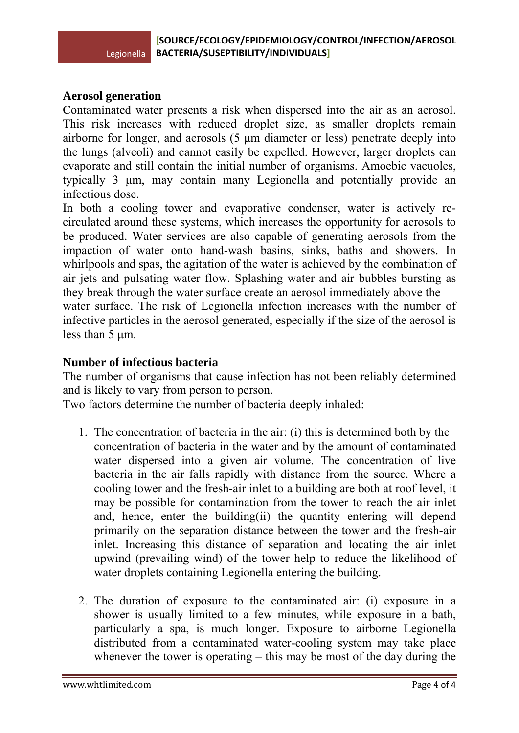## **Aerosol generation**

Contaminated water presents a risk when dispersed into the air as an aerosol. This risk increases with reduced droplet size, as smaller droplets remain airborne for longer, and aerosols (5 μm diameter or less) penetrate deeply into the lungs (alveoli) and cannot easily be expelled. However, larger droplets can evaporate and still contain the initial number of organisms. Amoebic vacuoles, typically 3 μm, may contain many Legionella and potentially provide an infectious dose.

In both a cooling tower and evaporative condenser, water is actively recirculated around these systems, which increases the opportunity for aerosols to be produced. Water services are also capable of generating aerosols from the impaction of water onto hand-wash basins, sinks, baths and showers. In whirlpools and spas, the agitation of the water is achieved by the combination of air jets and pulsating water flow. Splashing water and air bubbles bursting as they break through the water surface create an aerosol immediately above the water surface. The risk of Legionella infection increases with the number of infective particles in the aerosol generated, especially if the size of the aerosol is less than 5 μm.

# **Number of infectious bacteria**

The number of organisms that cause infection has not been reliably determined and is likely to vary from person to person.

Two factors determine the number of bacteria deeply inhaled:

- 1. The concentration of bacteria in the air: (i) this is determined both by the concentration of bacteria in the water and by the amount of contaminated water dispersed into a given air volume. The concentration of live bacteria in the air falls rapidly with distance from the source. Where a cooling tower and the fresh-air inlet to a building are both at roof level, it may be possible for contamination from the tower to reach the air inlet and, hence, enter the building(ii) the quantity entering will depend primarily on the separation distance between the tower and the fresh-air inlet. Increasing this distance of separation and locating the air inlet upwind (prevailing wind) of the tower help to reduce the likelihood of water droplets containing Legionella entering the building.
- 2. The duration of exposure to the contaminated air: (i) exposure in a shower is usually limited to a few minutes, while exposure in a bath, particularly a spa, is much longer. Exposure to airborne Legionella distributed from a contaminated water-cooling system may take place whenever the tower is operating – this may be most of the day during the